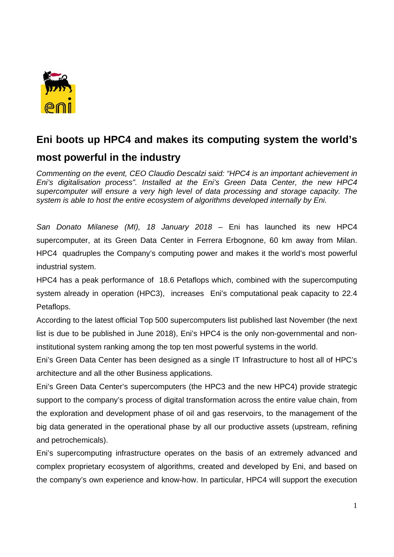

## **Eni boots up HPC4 and makes its computing system the world's most powerful in the industry**

*Commenting on the event, CEO Claudio Descalzi said: "HPC4 is an important achievement in Eni's digitalisation process". Installed at the Eni's Green Data Center, the new HPC4 supercomputer will ensure a very high level of data processing and storage capacity. The system is able to host the entire ecosystem of algorithms developed internally by Eni.* 

*San Donato Milanese (MI), 18 January 2018* – Eni has launched its new HPC4 supercomputer, at its Green Data Center in Ferrera Erbognone, 60 km away from Milan. HPC4 quadruples the Company's computing power and makes it the world's most powerful industrial system.

HPC4 has a peak performance of 18.6 Petaflops which, combined with the supercomputing system already in operation (HPC3), increases Eni's computational peak capacity to 22.4 Petaflops.

According to the latest official Top 500 supercomputers list published last November (the next list is due to be published in June 2018), Eni's HPC4 is the only non-governmental and noninstitutional system ranking among the top ten most powerful systems in the world.

Eni's Green Data Center has been designed as a single IT Infrastructure to host all of HPC's architecture and all the other Business applications.

Eni's Green Data Center's supercomputers (the HPC3 and the new HPC4) provide strategic support to the company's process of digital transformation across the entire value chain, from the exploration and development phase of oil and gas reservoirs, to the management of the big data generated in the operational phase by all our productive assets (upstream, refining and petrochemicals).

Eni's supercomputing infrastructure operates on the basis of an extremely advanced and complex proprietary ecosystem of algorithms, created and developed by Eni, and based on the company's own experience and know-how. In particular, HPC4 will support the execution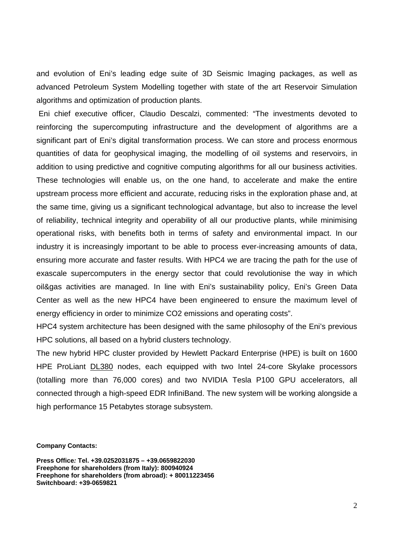and evolution of Eni's leading edge suite of 3D Seismic Imaging packages, as well as advanced Petroleum System Modelling together with state of the art Reservoir Simulation algorithms and optimization of production plants.

 Eni chief executive officer, Claudio Descalzi, commented: "The investments devoted to reinforcing the supercomputing infrastructure and the development of algorithms are a significant part of Eni's digital transformation process. We can store and process enormous quantities of data for geophysical imaging, the modelling of oil systems and reservoirs, in addition to using predictive and cognitive computing algorithms for all our business activities. These technologies will enable us, on the one hand, to accelerate and make the entire upstream process more efficient and accurate, reducing risks in the exploration phase and, at the same time, giving us a significant technological advantage, but also to increase the level of reliability, technical integrity and operability of all our productive plants, while minimising operational risks, with benefits both in terms of safety and environmental impact. In our industry it is increasingly important to be able to process ever-increasing amounts of data, ensuring more accurate and faster results. With HPC4 we are tracing the path for the use of exascale supercomputers in the energy sector that could revolutionise the way in which oil&gas activities are managed. In line with Eni's sustainability policy, Eni's Green Data Center as well as the new HPC4 have been engineered to ensure the maximum level of energy efficiency in order to minimize CO2 emissions and operating costs".

HPC4 system architecture has been designed with the same philosophy of the Eni's previous HPC solutions, all based on a hybrid clusters technology.

The new hybrid HPC cluster provided by Hewlett Packard Enterprise (HPE) is built on 1600 HPE ProLiant DL380 nodes, each equipped with two Intel 24-core Skylake processors (totalling more than 76,000 cores) and two NVIDIA Tesla P100 GPU accelerators, all connected through a high-speed EDR InfiniBand. The new system will be working alongside a high performance 15 Petabytes storage subsystem.

**Company Contacts:** 

**Press Office***:* **Tel. +39.0252031875 – +39.0659822030 Freephone for shareholders (from Italy): 800940924 Freephone for shareholders (from abroad): + 80011223456 Switchboard: +39-0659821**